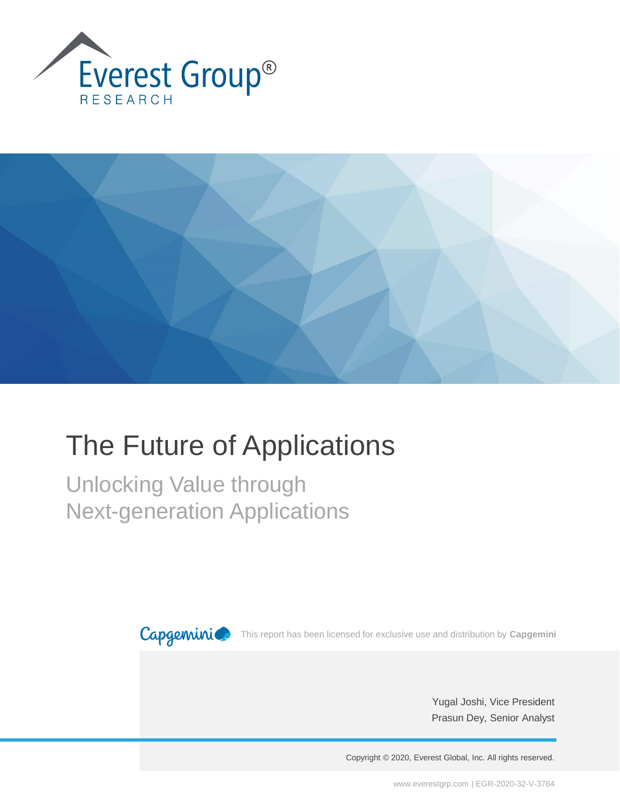



# The Future of Applications

Unlocking Value through Next-generation Applications



This report has been licensed for exclusive use and distribution by **Capgemini**

Yugal Joshi, Vice President Prasun Dey, Senior Analyst

Copyright © 2020, Everest Global, Inc. All rights reserved.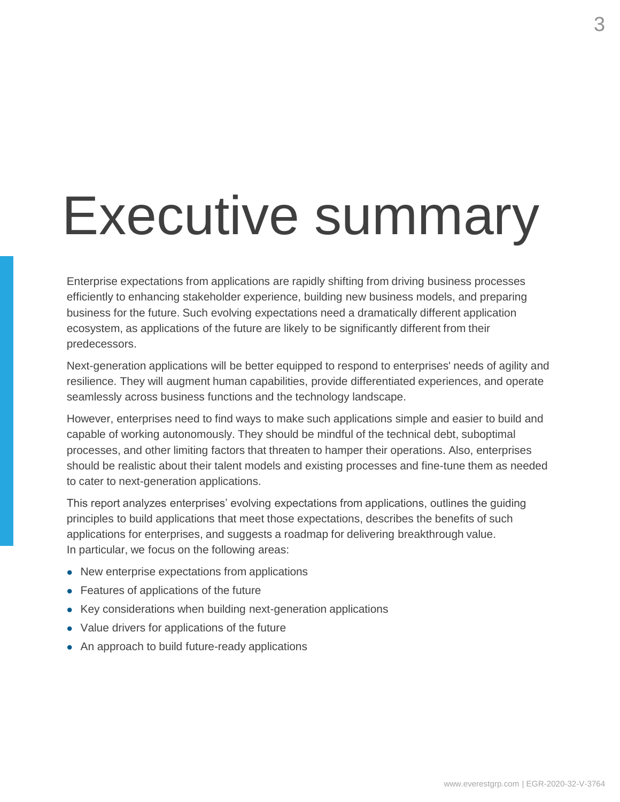# Executive summary

Enterprise expectations from applications are rapidly shifting from driving business processes efficiently to enhancing stakeholder experience, building new business models, and preparing business for the future. Such evolving expectations need a dramatically different application ecosystem, as applications of the future are likely to be significantly different from their predecessors.

Next-generation applications will be better equipped to respond to enterprises' needs of agility and resilience. They will augment human capabilities, provide differentiated experiences, and operate seamlessly across business functions and the technology landscape.

However, enterprises need to find ways to make such applications simple and easier to build and capable of working autonomously. They should be mindful of the technical debt, suboptimal processes, and other limiting factors that threaten to hamper their operations. Also, enterprises should be realistic about their talent models and existing processes and fine-tune them as needed to cater to next-generation applications.

This report analyzes enterprises' evolving expectations from applications, outlines the guiding principles to build applications that meet those expectations, describes the benefits of such applications for enterprises, and suggests a roadmap for delivering breakthrough value. In particular, we focus on the following areas:

- ⚫ New enterprise expectations from applications
- Features of applications of the future
- Key considerations when building next-generation applications
- ⚫ Value drivers for applications of the future
- ⚫ An approach to build future-ready applications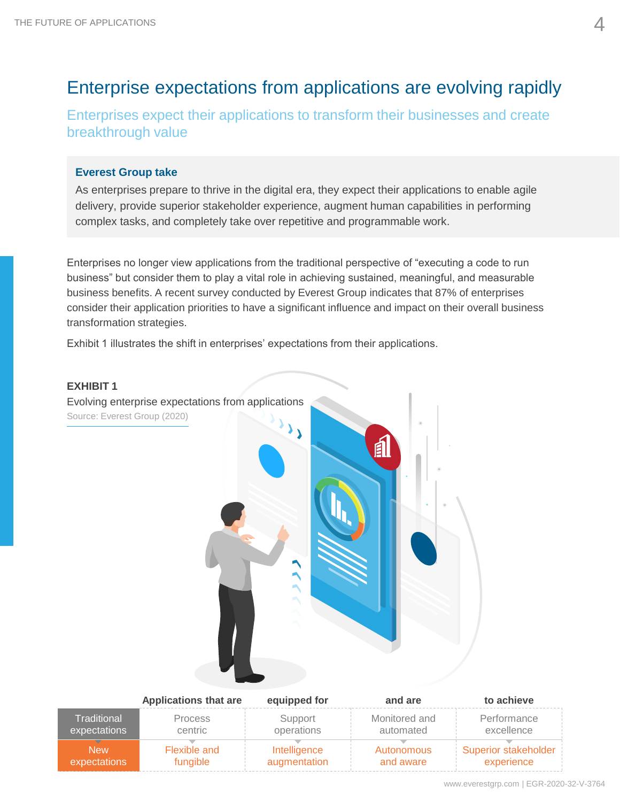# Enterprise expectations from applications are evolving rapidly

Enterprises expect their applications to transform their businesses and create breakthrough value

#### **Everest Group take**

As enterprises prepare to thrive in the digital era, they expect their applications to enable agile delivery, provide superior stakeholder experience, augment human capabilities in performing complex tasks, and completely take over repetitive and programmable work.

Enterprises no longer view applications from the traditional perspective of "executing a code to run business" but consider them to play a vital role in achieving sustained, meaningful, and measurable business benefits. A recent survey conducted by Everest Group indicates that 87% of enterprises consider their application priorities to have a significant influence and impact on their overall business transformation strategies.

Exhibit 1 illustrates the shift in enterprises' expectations from their applications.

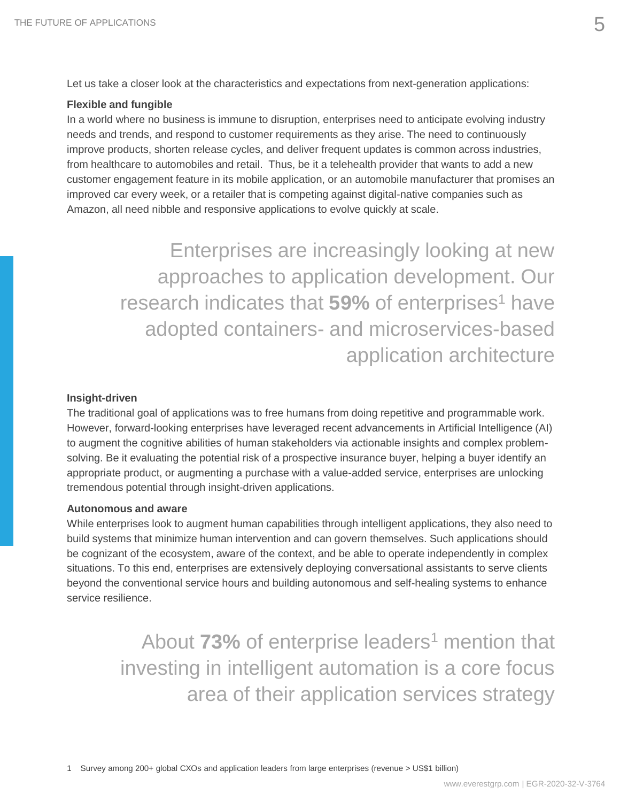Let us take a closer look at the characteristics and expectations from next-generation applications:

#### **Flexible and fungible**

In a world where no business is immune to disruption, enterprises need to anticipate evolving industry needs and trends, and respond to customer requirements as they arise. The need to continuously improve products, shorten release cycles, and deliver frequent updates is common across industries, from healthcare to automobiles and retail. Thus, be it a telehealth provider that wants to add a new customer engagement feature in its mobile application, or an automobile manufacturer that promises an improved car every week, or a retailer that is competing against digital-native companies such as Amazon, all need nibble and responsive applications to evolve quickly at scale.

> Enterprises are increasingly looking at new approaches to application development. Our research indicates that **59%** of enterprises<sup>1</sup> have adopted containers- and microservices-based application architecture

#### **Insight-driven**

The traditional goal of applications was to free humans from doing repetitive and programmable work. However, forward-looking enterprises have leveraged recent advancements in Artificial Intelligence (AI) to augment the cognitive abilities of human stakeholders via actionable insights and complex problemsolving. Be it evaluating the potential risk of a prospective insurance buyer, helping a buyer identify an appropriate product, or augmenting a purchase with a value-added service, enterprises are unlocking tremendous potential through insight-driven applications.

#### **Autonomous and aware**

While enterprises look to augment human capabilities through intelligent applications, they also need to build systems that minimize human intervention and can govern themselves. Such applications should be cognizant of the ecosystem, aware of the context, and be able to operate independently in complex situations. To this end, enterprises are extensively deploying conversational assistants to serve clients beyond the conventional service hours and building autonomous and self-healing systems to enhance service resilience.

> About **73%** of enterprise leaders<sup>1</sup> mention that investing in intelligent automation is a core focus area of their application services strategy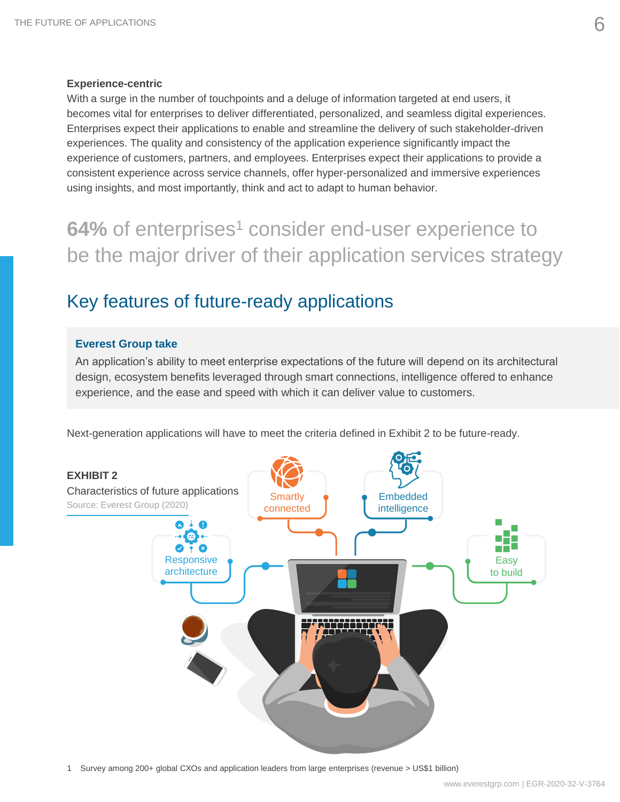#### **Experience-centric**

With a surge in the number of touchpoints and a deluge of information targeted at end users, it becomes vital for enterprises to deliver differentiated, personalized, and seamless digital experiences. Enterprises expect their applications to enable and streamline the delivery of such stakeholder-driven experiences. The quality and consistency of the application experience significantly impact the experience of customers, partners, and employees. Enterprises expect their applications to provide a consistent experience across service channels, offer hyper-personalized and immersive experiences using insights, and most importantly, think and act to adapt to human behavior.

**64%** of enterprises<sup>1</sup> consider end-user experience to be the major driver of their application services strategy

# Key features of future-ready applications

#### **Everest Group take**

An application's ability to meet enterprise expectations of the future will depend on its architectural design, ecosystem benefits leveraged through smart connections, intelligence offered to enhance experience, and the ease and speed with which it can deliver value to customers.

Next-generation applications will have to meet the criteria defined in Exhibit 2 to be future-ready.



1 Survey among 200+ global CXOs and application leaders from large enterprises (revenue > US\$1 billion)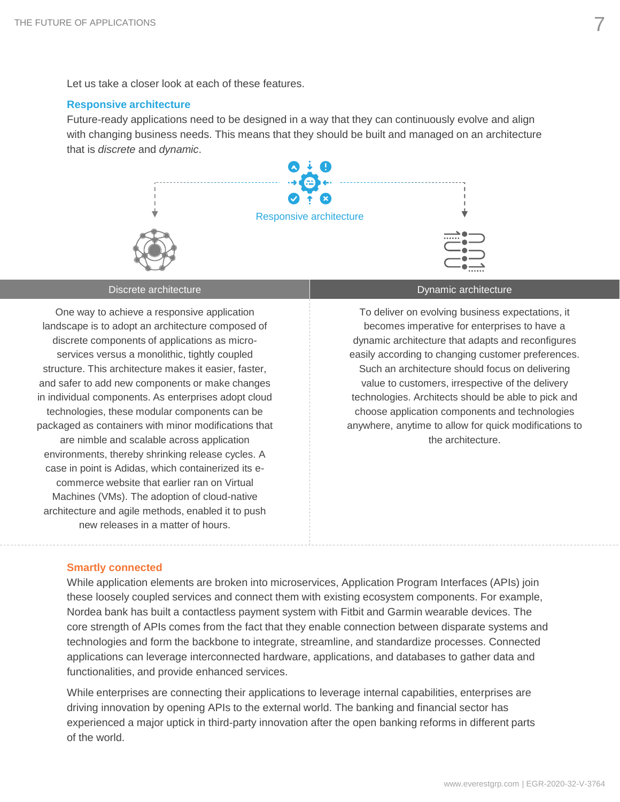Let us take a closer look at each of these features.

#### **Responsive architecture**

Future-ready applications need to be designed in a way that they can continuously evolve and align with changing business needs. This means that they should be built and managed on an architecture that is *discrete* and *dynamic*.



One way to achieve a responsive application landscape is to adopt an architecture composed of discrete components of applications as microservices versus a monolithic, tightly coupled structure. This architecture makes it easier, faster, and safer to add new components or make changes in individual components. As enterprises adopt cloud technologies, these modular components can be packaged as containers with minor modifications that are nimble and scalable across application environments, thereby shrinking release cycles. A case in point is Adidas, which containerized its ecommerce website that earlier ran on Virtual Machines (VMs). The adoption of cloud-native architecture and agile methods, enabled it to push new releases in a matter of hours.

Discrete architecture **Dynamic architecture** Dynamic architecture

To deliver on evolving business expectations, it becomes imperative for enterprises to have a dynamic architecture that adapts and reconfigures easily according to changing customer preferences. Such an architecture should focus on delivering value to customers, irrespective of the delivery technologies. Architects should be able to pick and choose application components and technologies anywhere, anytime to allow for quick modifications to the architecture.

#### **Smartly connected**

While application elements are broken into microservices, Application Program Interfaces (APIs) join these loosely coupled services and connect them with existing ecosystem components. For example, Nordea bank has built a contactless payment system with Fitbit and Garmin wearable devices. The core strength of APIs comes from the fact that they enable connection between disparate systems and technologies and form the backbone to integrate, streamline, and standardize processes. Connected applications can leverage interconnected hardware, applications, and databases to gather data and functionalities, and provide enhanced services.

While enterprises are connecting their applications to leverage internal capabilities, enterprises are driving innovation by opening APIs to the external world. The banking and financial sector has experienced a major uptick in third-party innovation after the open banking reforms in different parts of the world.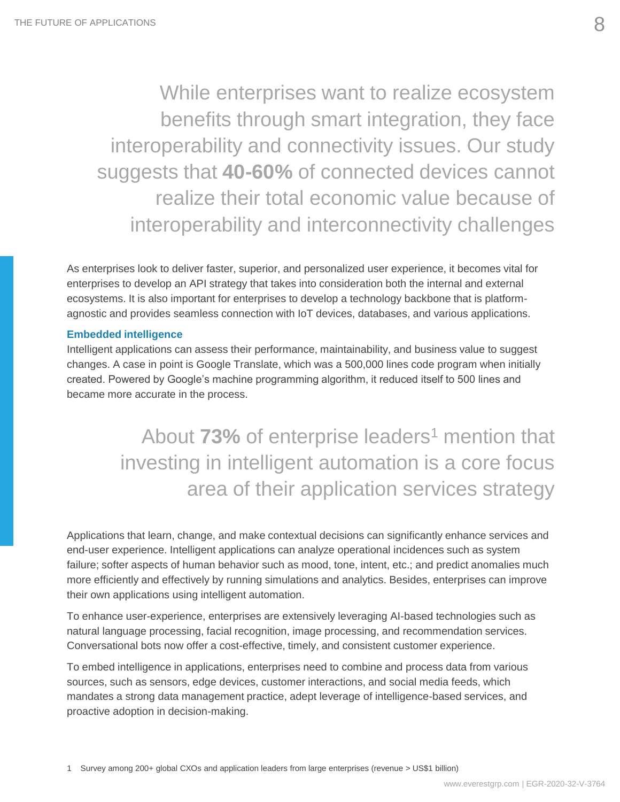While enterprises want to realize ecosystem benefits through smart integration, they face interoperability and connectivity issues. Our study suggests that **40-60%** of connected devices cannot realize their total economic value because of interoperability and interconnectivity challenges

As enterprises look to deliver faster, superior, and personalized user experience, it becomes vital for enterprises to develop an API strategy that takes into consideration both the internal and external ecosystems. It is also important for enterprises to develop a technology backbone that is platformagnostic and provides seamless connection with IoT devices, databases, and various applications.

#### **Embedded intelligence**

Intelligent applications can assess their performance, maintainability, and business value to suggest changes. A case in point is Google Translate, which was a 500,000 lines code program when initially created. Powered by Google's machine programming algorithm, it reduced itself to 500 lines and became more accurate in the process.

> About **73%** of enterprise leaders<sup>1</sup> mention that investing in intelligent automation is a core focus area of their application services strategy

Applications that learn, change, and make contextual decisions can significantly enhance services and end-user experience. Intelligent applications can analyze operational incidences such as system failure; softer aspects of human behavior such as mood, tone, intent, etc.; and predict anomalies much more efficiently and effectively by running simulations and analytics. Besides, enterprises can improve their own applications using intelligent automation.

To enhance user-experience, enterprises are extensively leveraging AI-based technologies such as natural language processing, facial recognition, image processing, and recommendation services. Conversational bots now offer a cost-effective, timely, and consistent customer experience.

To embed intelligence in applications, enterprises need to combine and process data from various sources, such as sensors, edge devices, customer interactions, and social media feeds, which mandates a strong data management practice, adept leverage of intelligence-based services, and proactive adoption in decision-making.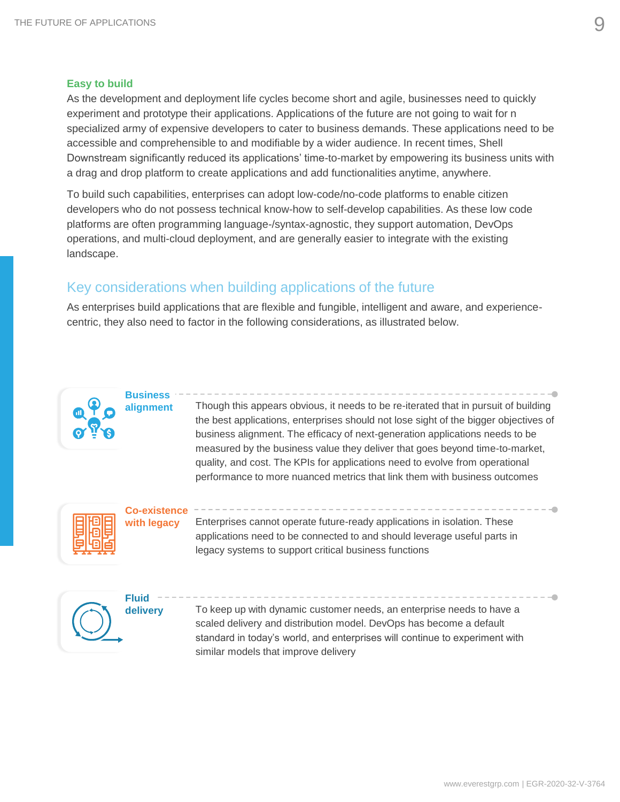#### **Easy to build**

As the development and deployment life cycles become short and agile, businesses need to quickly experiment and prototype their applications. Applications of the future are not going to wait for n specialized army of expensive developers to cater to business demands. These applications need to be accessible and comprehensible to and modifiable by a wider audience. In recent times, Shell Downstream significantly reduced its applications' time-to-market by empowering its business units with a drag and drop platform to create applications and add functionalities anytime, anywhere.

To build such capabilities, enterprises can adopt low-code/no-code platforms to enable citizen developers who do not possess technical know-how to self-develop capabilities. As these low code platforms are often programming language-/syntax-agnostic, they support automation, DevOps operations, and multi-cloud deployment, and are generally easier to integrate with the existing landscape.

# Key considerations when building applications of the future

As enterprises build applications that are flexible and fungible, intelligent and aware, and experiencecentric, they also need to factor in the following considerations, as illustrated below.



# **Business alignment**

Though this appears obvious, it needs to be re-iterated that in pursuit of building the best applications, enterprises should not lose sight of the bigger objectives of business alignment. The efficacy of next-generation applications needs to be measured by the business value they deliver that goes beyond time-to-market, quality, and cost. The KPIs for applications need to evolve from operational performance to more nuanced metrics that link them with business outcomes



### **Co-existence with legacy**

Enterprises cannot operate future-ready applications in isolation. These applications need to be connected to and should leverage useful parts in legacy systems to support critical business functions



To keep up with dynamic customer needs, an enterprise needs to have a scaled delivery and distribution model. DevOps has become a default standard in today's world, and enterprises will continue to experiment with similar models that improve delivery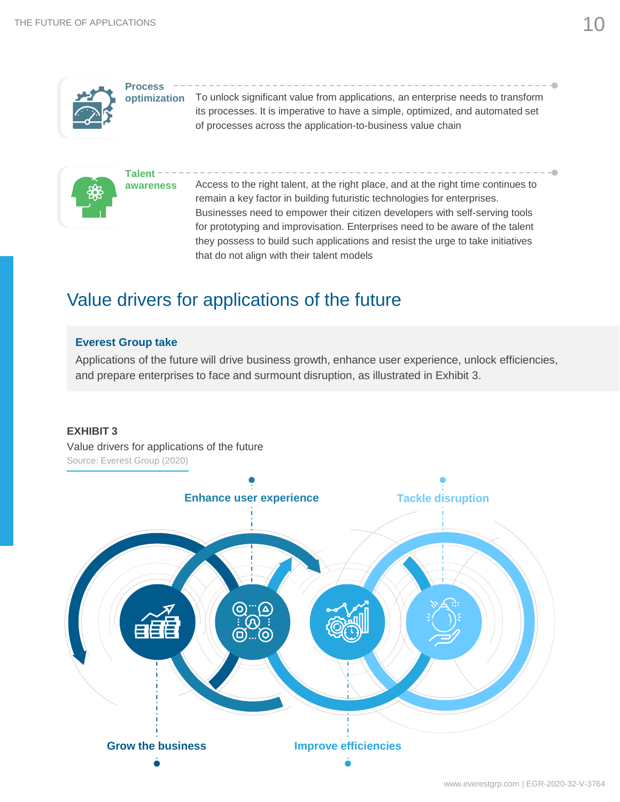|  | <b>Process</b> |
|--|----------------|
|  | optimiza       |
|  |                |
|  |                |
|  |                |

To unlock significant value from applications, an enterprise needs to transform its processes. It is imperative to have a simple, optimized, and automated set of processes across the application-to-business value chain **optimization**



Access to the right talent, at the right place, and at the right time continues to remain a key factor in building futuristic technologies for enterprises. Businesses need to empower their citizen developers with self-serving tools for prototyping and improvisation. Enterprises need to be aware of the talent they possess to build such applications and resist the urge to take initiatives that do not align with their talent models

# Value drivers for applications of the future

#### **Everest Group take**

Applications of the future will drive business growth, enhance user experience, unlock efficiencies, and prepare enterprises to face and surmount disruption, as illustrated in Exhibit 3.

#### **EXHIBIT 3**

Value drivers for applications of the future Source: Everest Group (2020)

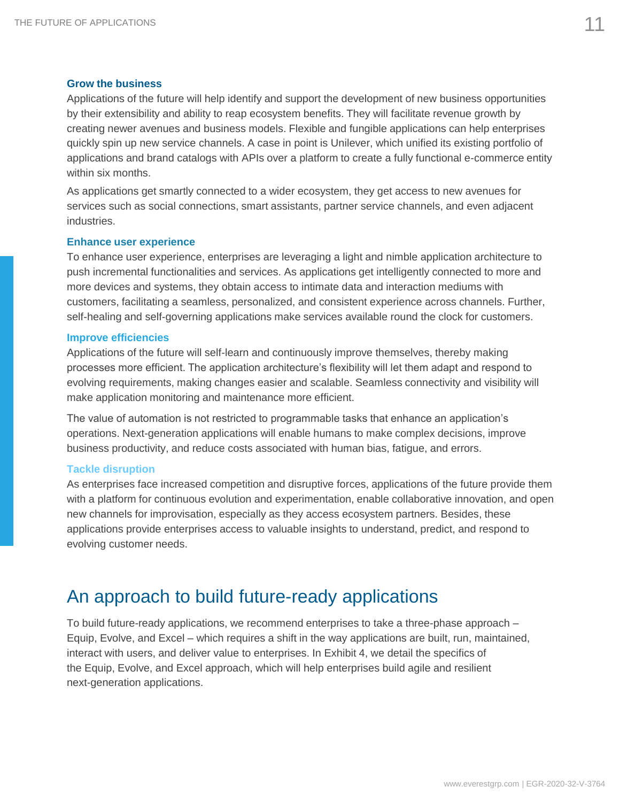#### **Grow the business**

Applications of the future will help identify and support the development of new business opportunities by their extensibility and ability to reap ecosystem benefits. They will facilitate revenue growth by creating newer avenues and business models. Flexible and fungible applications can help enterprises quickly spin up new service channels. A case in point is Unilever, which unified its existing portfolio of applications and brand catalogs with APIs over a platform to create a fully functional e-commerce entity within six months.

As applications get smartly connected to a wider ecosystem, they get access to new avenues for services such as social connections, smart assistants, partner service channels, and even adjacent industries.

#### **Enhance user experience**

To enhance user experience, enterprises are leveraging a light and nimble application architecture to push incremental functionalities and services. As applications get intelligently connected to more and more devices and systems, they obtain access to intimate data and interaction mediums with customers, facilitating a seamless, personalized, and consistent experience across channels. Further, self-healing and self-governing applications make services available round the clock for customers.

#### **Improve efficiencies**

Applications of the future will self-learn and continuously improve themselves, thereby making processes more efficient. The application architecture's flexibility will let them adapt and respond to evolving requirements, making changes easier and scalable. Seamless connectivity and visibility will make application monitoring and maintenance more efficient.

The value of automation is not restricted to programmable tasks that enhance an application's operations. Next-generation applications will enable humans to make complex decisions, improve business productivity, and reduce costs associated with human bias, fatigue, and errors.

#### **Tackle disruption**

As enterprises face increased competition and disruptive forces, applications of the future provide them with a platform for continuous evolution and experimentation, enable collaborative innovation, and open new channels for improvisation, especially as they access ecosystem partners. Besides, these applications provide enterprises access to valuable insights to understand, predict, and respond to evolving customer needs.

# An approach to build future-ready applications

To build future-ready applications, we recommend enterprises to take a three-phase approach – Equip, Evolve, and Excel – which requires a shift in the way applications are built, run, maintained, interact with users, and deliver value to enterprises. In Exhibit 4, we detail the specifics of the Equip, Evolve, and Excel approach, which will help enterprises build agile and resilient next-generation applications.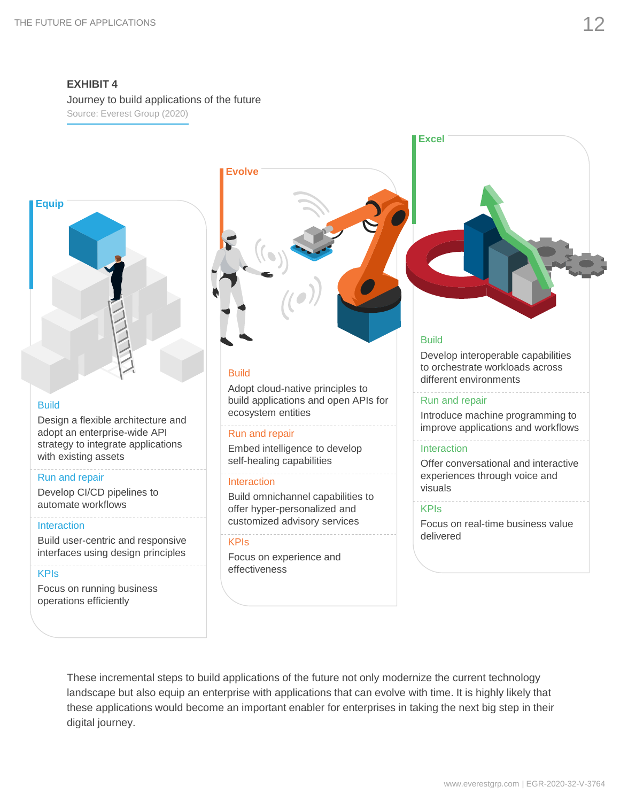**EXHIBIT 4** Journey to build applications of the future

Source: Everest Group (2020)



#### **Build**

Design a flexible architecture and adopt an enterprise-wide API strategy to integrate applications with existing assets

#### Run and repair

Develop CI/CD pipelines to automate workflows

#### **Interaction**

Build user-centric and responsive interfaces using design principles

#### KPIs

Focus on running business operations efficiently



#### Build

Adopt cloud-native principles to build applications and open APIs for ecosystem entities

#### Run and repair

Embed intelligence to develop self-healing capabilities

#### Interaction

Build omnichannel capabilities to offer hyper-personalized and customized advisory services

#### KPIs

Focus on experience and effectiveness

#### Build

**Excel**

Develop interoperable capabilities to orchestrate workloads across different environments

#### Run and repair

Introduce machine programming to improve applications and workflows

#### **Interaction**

Offer conversational and interactive experiences through voice and visuals

#### **KPIs**

Focus on real-time business value delivered

These incremental steps to build applications of the future not only modernize the current technology landscape but also equip an enterprise with applications that can evolve with time. It is highly likely that these applications would become an important enabler for enterprises in taking the next big step in their digital journey.